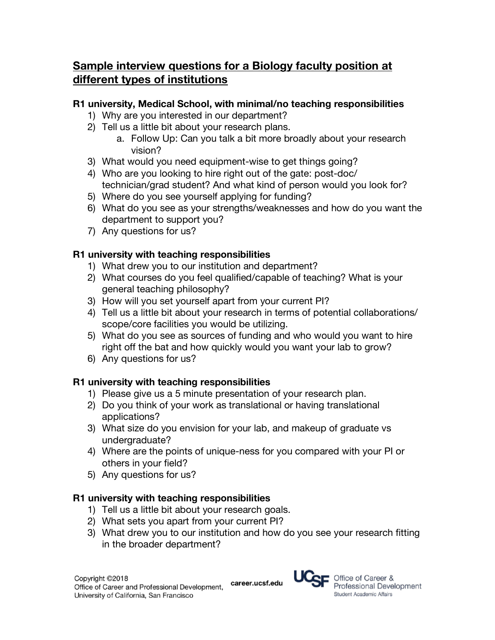# **Sample interview questions for a Biology faculty position at different types of institutions**

#### **R1 university, Medical School, with minimal/no teaching responsibilities**

- 1) Why are you interested in our department?
- 2) Tell us a little bit about your research plans.
	- a. Follow Up: Can you talk a bit more broadly about your research vision?
- 3) What would you need equipment-wise to get things going?
- 4) Who are you looking to hire right out of the gate: post-doc/ technician/grad student? And what kind of person would you look for?
- 5) Where do you see yourself applying for funding?
- 6) What do you see as your strengths/weaknesses and how do you want the department to support you?
- 7) Any questions for us?

### **R1 university with teaching responsibilities**

- 1) What drew you to our institution and department?
- 2) What courses do you feel qualified/capable of teaching? What is your general teaching philosophy?
- 3) How will you set yourself apart from your current PI?
- 4) Tell us a little bit about your research in terms of potential collaborations/ scope/core facilities you would be utilizing.
- 5) What do you see as sources of funding and who would you want to hire right off the bat and how quickly would you want your lab to grow?
- 6) Any questions for us?

# **R1 university with teaching responsibilities**

- 1) Please give us a 5 minute presentation of your research plan.
- 2) Do you think of your work as translational or having translational applications?
- 3) What size do you envision for your lab, and makeup of graduate vs undergraduate?
- 4) Where are the points of unique-ness for you compared with your PI or others in your field?
- 5) Any questions for us?

### **R1 university with teaching responsibilities**

- 1) Tell us a little bit about your research goals.
- 2) What sets you apart from your current PI?
- 3) What drew you to our institution and how do you see your research fitting in the broader department?